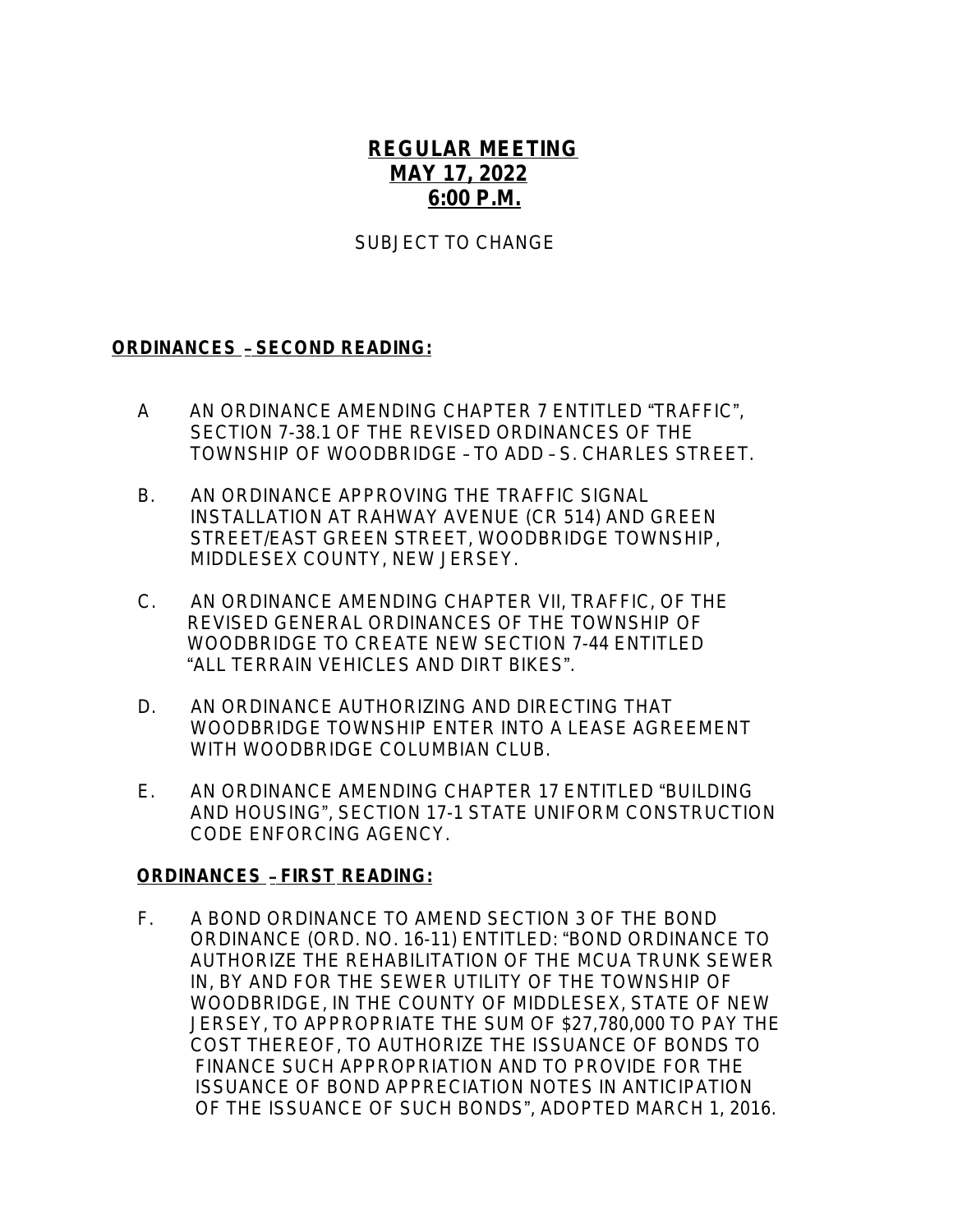# **REGULAR MEETING MAY 17, 2022 6:00 P.M.**

### SUBJECT TO CHANGE

#### **ORDINANCES** – **SECOND READING:**

- A AN ORDINANCE AMENDING CHAPTER 7 ENTITLED "TRAFFIC", SECTION 7-38.1 OF THE REVISED ORDINANCES OF THE TOWNSHIP OF WOODBRIDGE – TO ADD – S. CHARLES STREET.
- B. AN ORDINANCE APPROVING THE TRAFFIC SIGNAL INSTALLATION AT RAHWAY AVENUE (CR 514) AND GREEN STREET/EAST GREEN STREET, WOODBRIDGE TOWNSHIP, MIDDLESEX COUNTY, NEW JERSEY.
- C. AN ORDINANCE AMENDING CHAPTER VII, TRAFFIC, OF THE REVISED GENERAL ORDINANCES OF THE TOWNSHIP OF WOODBRIDGE TO CREATE NEW SECTION 7-44 ENTITLED "ALL TERRAIN VEHICLES AND DIRT BIKES".
- D. AN ORDINANCE AUTHORIZING AND DIRECTING THAT WOODBRIDGE TOWNSHIP ENTER INTO A LEASE AGREEMENT WITH WOODBRIDGE COLUMBIAN CLUB.
- E. AN ORDINANCE AMENDING CHAPTER 17 ENTITLED "BUILDING AND HOUSING", SECTION 17-1 STATE UNIFORM CONSTRUCTION CODE ENFORCING AGENCY.

#### **ORDINANCES** – **FIRST READING:**

F. A BOND ORDINANCE TO AMEND SECTION 3 OF THE BOND ORDINANCE (ORD. NO. 16-11) ENTITLED: "BOND ORDINANCE TO AUTHORIZE THE REHABILITATION OF THE MCUA TRUNK SEWER IN, BY AND FOR THE SEWER UTILITY OF THE TOWNSHIP OF WOODBRIDGE, IN THE COUNTY OF MIDDLESEX, STATE OF NEW JERSEY, TO APPROPRIATE THE SUM OF \$27,780,000 TO PAY THE COST THEREOF, TO AUTHORIZE THE ISSUANCE OF BONDS TO FINANCE SUCH APPROPRIATION AND TO PROVIDE FOR THE ISSUANCE OF BOND APPRECIATION NOTES IN ANTICIPATION OF THE ISSUANCE OF SUCH BONDS", ADOPTED MARCH 1, 2016.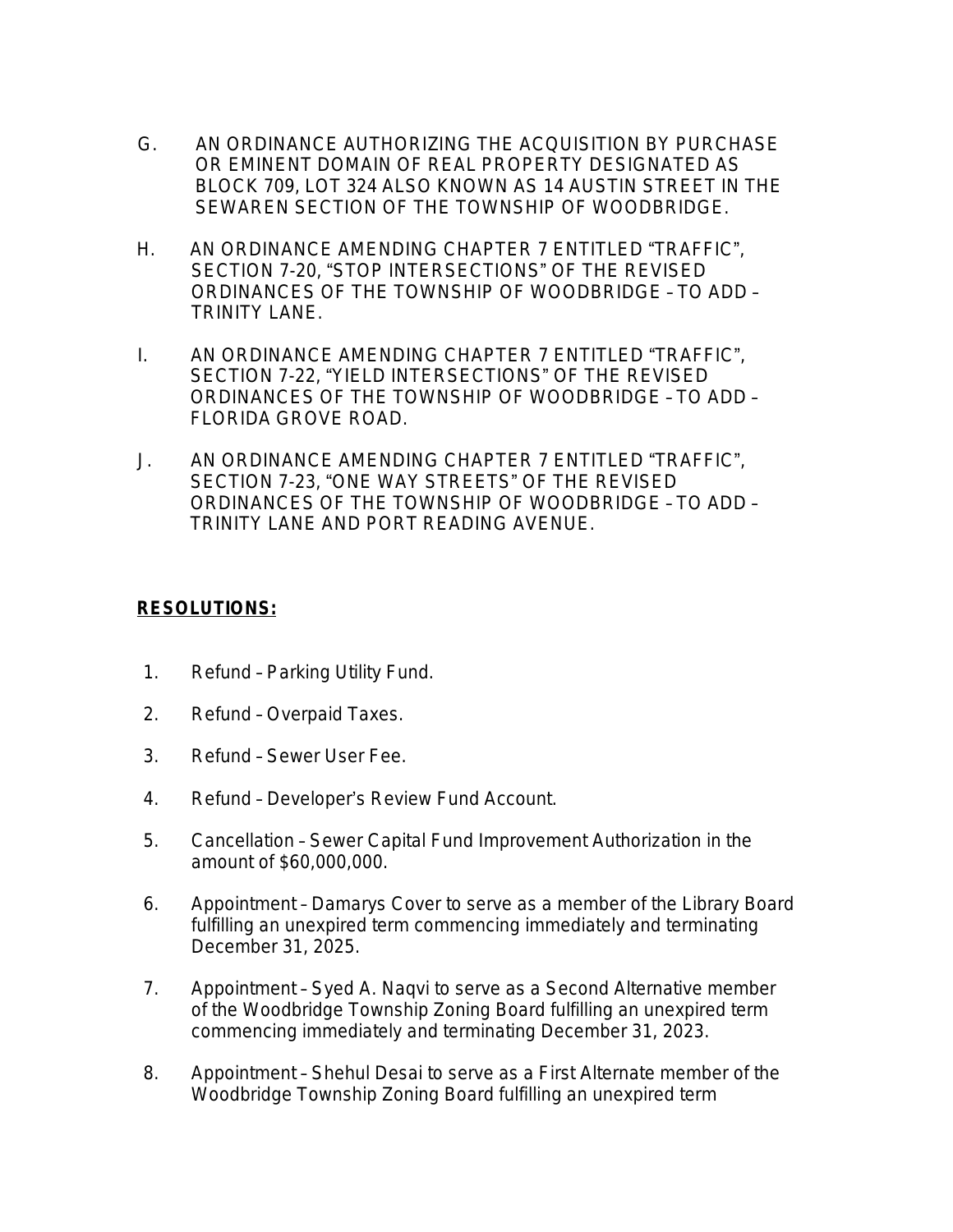- G. AN ORDINANCE AUTHORIZING THE ACQUISITION BY PURCHASE OR EMINENT DOMAIN OF REAL PROPERTY DESIGNATED AS BLOCK 709, LOT 324 ALSO KNOWN AS 14 AUSTIN STREET IN THE SEWAREN SECTION OF THE TOWNSHIP OF WOODBRIDGE.
- H. AN ORDINANCE AMENDING CHAPTER 7 ENTITLED "TRAFFIC", SECTION 7-20, "STOP INTERSECTIONS" OF THE REVISED ORDINANCES OF THE TOWNSHIP OF WOODBRIDGE – TO ADD – TRINITY LANE.
- I. AN ORDINANCE AMENDING CHAPTER 7 ENTITLED "TRAFFIC", SECTION 7-22, "YIELD INTERSECTIONS" OF THE REVISED ORDINANCES OF THE TOWNSHIP OF WOODBRIDGE – TO ADD – FLORIDA GROVE ROAD.
- J. AN ORDINANCE AMENDING CHAPTER 7 ENTITLED "TRAFFIC", SECTION 7-23, "ONE WAY STREETS" OF THE REVISED ORDINANCES OF THE TOWNSHIP OF WOODBRIDGE – TO ADD – TRINITY LANE AND PORT READING AVENUE.

## **RESOLUTIONS:**

- 1. Refund Parking Utility Fund.
- 2. Refund Overpaid Taxes.
- 3. Refund Sewer User Fee.
- 4. Refund Developer's Review Fund Account.
- 5. Cancellation Sewer Capital Fund Improvement Authorization in the amount of \$60,000,000.
- 6. Appointment Damarys Cover to serve as a member of the Library Board fulfilling an unexpired term commencing immediately and terminating December 31, 2025.
- 7. Appointment Syed A. Naqvi to serve as a Second Alternative member of the Woodbridge Township Zoning Board fulfilling an unexpired term commencing immediately and terminating December 31, 2023.
- 8. Appointment Shehul Desai to serve as a First Alternate member of the Woodbridge Township Zoning Board fulfilling an unexpired term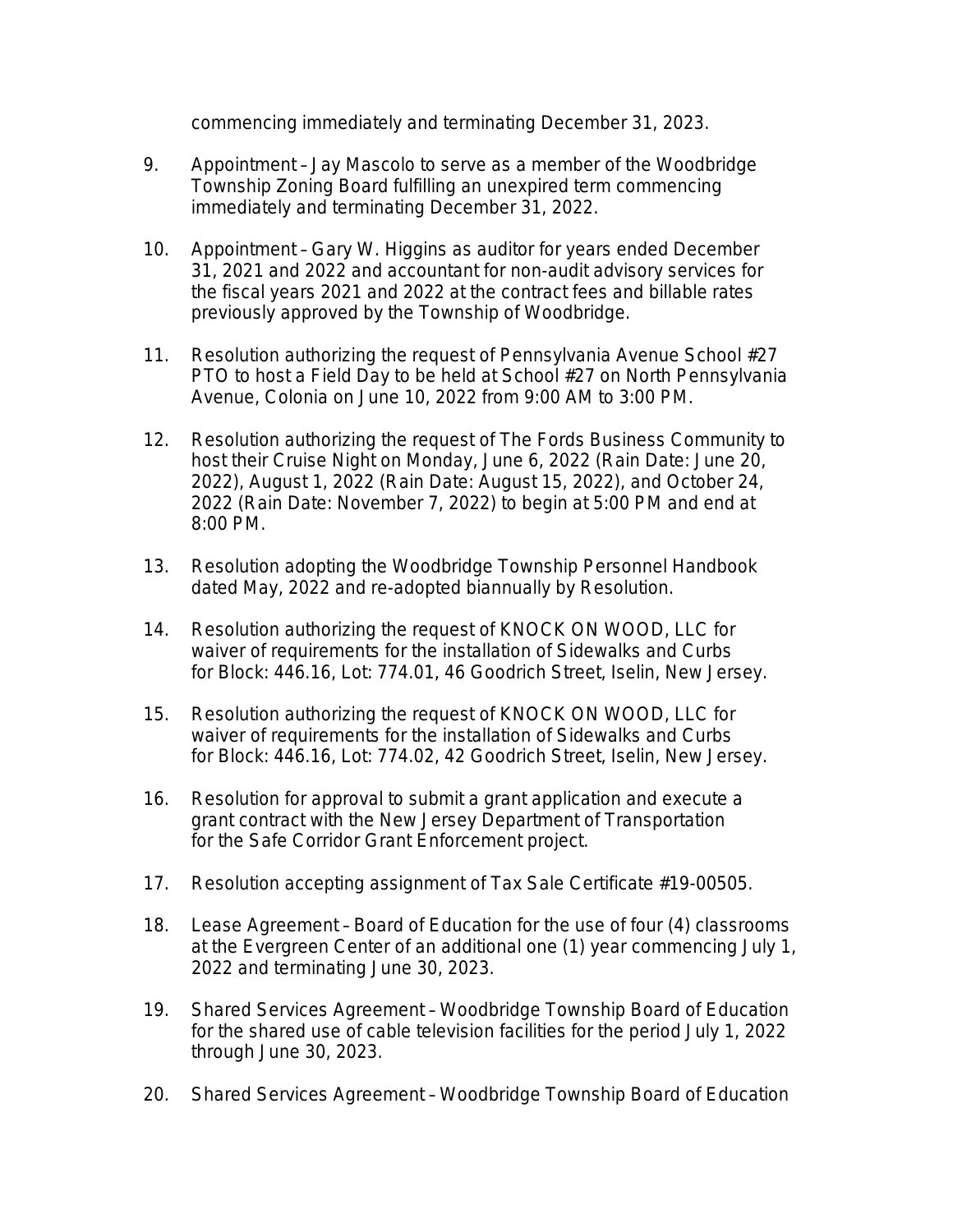commencing immediately and terminating December 31, 2023.

- 9. Appointment Jay Mascolo to serve as a member of the Woodbridge Township Zoning Board fulfilling an unexpired term commencing immediately and terminating December 31, 2022.
- 10. Appointment Gary W. Higgins as auditor for years ended December 31, 2021 and 2022 and accountant for non-audit advisory services for the fiscal years 2021 and 2022 at the contract fees and billable rates previously approved by the Township of Woodbridge.
- 11. Resolution authorizing the request of Pennsylvania Avenue School #27 PTO to host a Field Day to be held at School #27 on North Pennsylvania Avenue, Colonia on June 10, 2022 from 9:00 AM to 3:00 PM.
- 12. Resolution authorizing the request of The Fords Business Community to host their Cruise Night on Monday, June 6, 2022 (Rain Date: June 20, 2022), August 1, 2022 (Rain Date: August 15, 2022), and October 24, 2022 (Rain Date: November 7, 2022) to begin at 5:00 PM and end at 8:00 PM.
- 13. Resolution adopting the Woodbridge Township Personnel Handbook dated May, 2022 and re-adopted biannually by Resolution.
- 14. Resolution authorizing the request of KNOCK ON WOOD, LLC for waiver of requirements for the installation of Sidewalks and Curbs for Block: 446.16, Lot: 774.01, 46 Goodrich Street, Iselin, New Jersey.
- 15. Resolution authorizing the request of KNOCK ON WOOD, LLC for waiver of requirements for the installation of Sidewalks and Curbs for Block: 446.16, Lot: 774.02, 42 Goodrich Street, Iselin, New Jersey.
- 16. Resolution for approval to submit a grant application and execute a grant contract with the New Jersey Department of Transportation for the Safe Corridor Grant Enforcement project.
- 17. Resolution accepting assignment of Tax Sale Certificate #19-00505.
- 18. Lease Agreement Board of Education for the use of four (4) classrooms at the Evergreen Center of an additional one (1) year commencing July 1, 2022 and terminating June 30, 2023.
- 19. Shared Services Agreement Woodbridge Township Board of Education for the shared use of cable television facilities for the period July 1, 2022 through June 30, 2023.
- 20. Shared Services Agreement Woodbridge Township Board of Education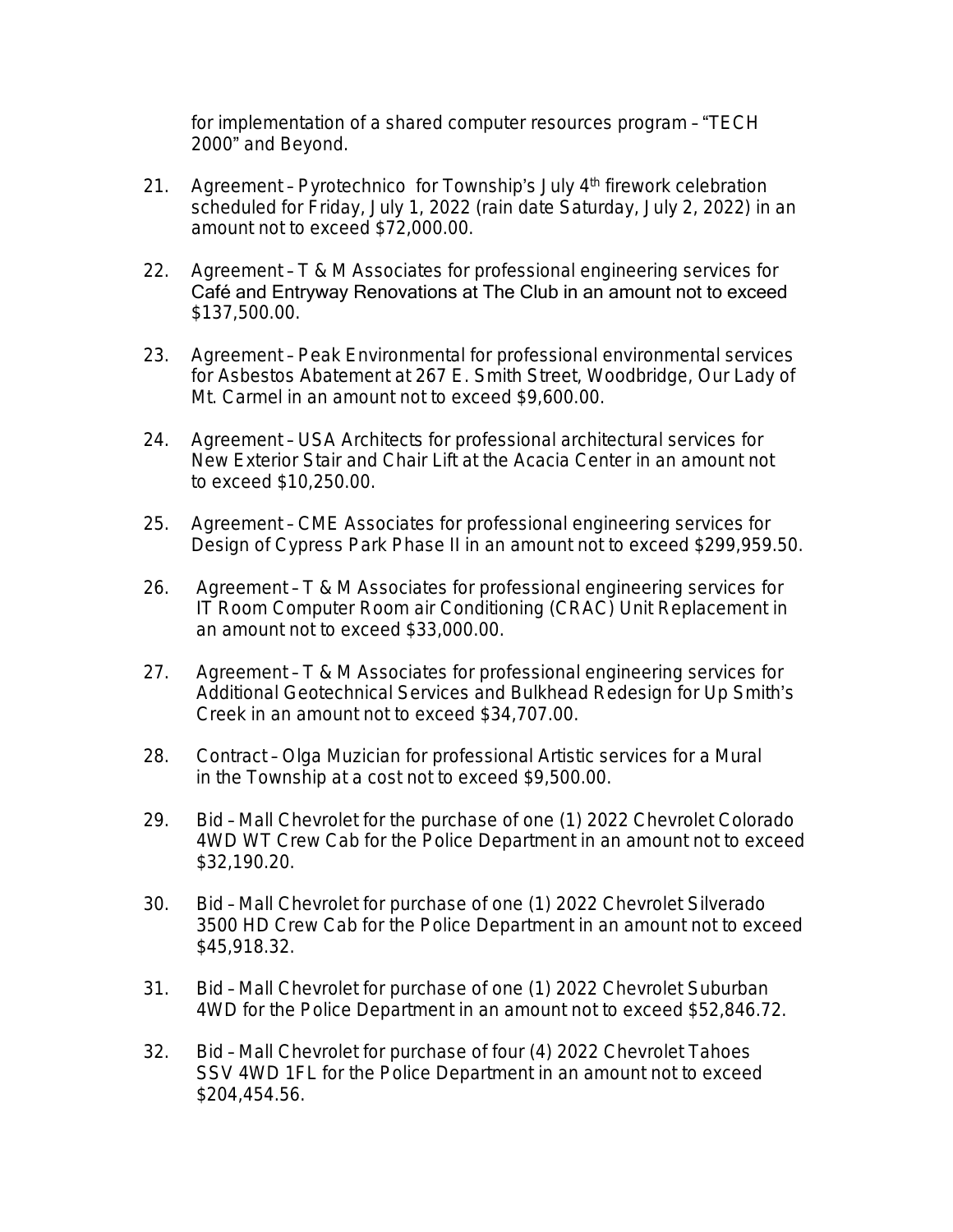for implementation of a shared computer resources program – "TECH 2000" and Beyond.

- 21. Agreement Pyrotechnico for Township's July  $4<sup>th</sup>$  firework celebration scheduled for Friday, July 1, 2022 (rain date Saturday, July 2, 2022) in an amount not to exceed \$72,000.00.
- 22. Agreement T & M Associates for professional engineering services for Café and Entryway Renovations at The Club in an amount not to exceed \$137,500.00.
- 23. Agreement Peak Environmental for professional environmental services for Asbestos Abatement at 267 E. Smith Street, Woodbridge, Our Lady of Mt. Carmel in an amount not to exceed \$9,600.00.
- 24. Agreement USA Architects for professional architectural services for New Exterior Stair and Chair Lift at the Acacia Center in an amount not to exceed \$10,250.00.
- 25. Agreement CME Associates for professional engineering services for Design of Cypress Park Phase II in an amount not to exceed \$299,959.50.
- 26. Agreement T & M Associates for professional engineering services for IT Room Computer Room air Conditioning (CRAC) Unit Replacement in an amount not to exceed \$33,000.00.
- 27. Agreement T & M Associates for professional engineering services for Additional Geotechnical Services and Bulkhead Redesign for Up Smith's Creek in an amount not to exceed \$34,707.00.
- 28. Contract Olga Muzician for professional Artistic services for a Mural in the Township at a cost not to exceed \$9,500.00.
- 29. Bid Mall Chevrolet for the purchase of one (1) 2022 Chevrolet Colorado 4WD WT Crew Cab for the Police Department in an amount not to exceed \$32,190.20.
- 30. Bid Mall Chevrolet for purchase of one (1) 2022 Chevrolet Silverado 3500 HD Crew Cab for the Police Department in an amount not to exceed \$45,918.32.
- 31. Bid Mall Chevrolet for purchase of one (1) 2022 Chevrolet Suburban 4WD for the Police Department in an amount not to exceed \$52,846.72.
- 32. Bid Mall Chevrolet for purchase of four (4) 2022 Chevrolet Tahoes SSV 4WD 1FL for the Police Department in an amount not to exceed \$204,454.56.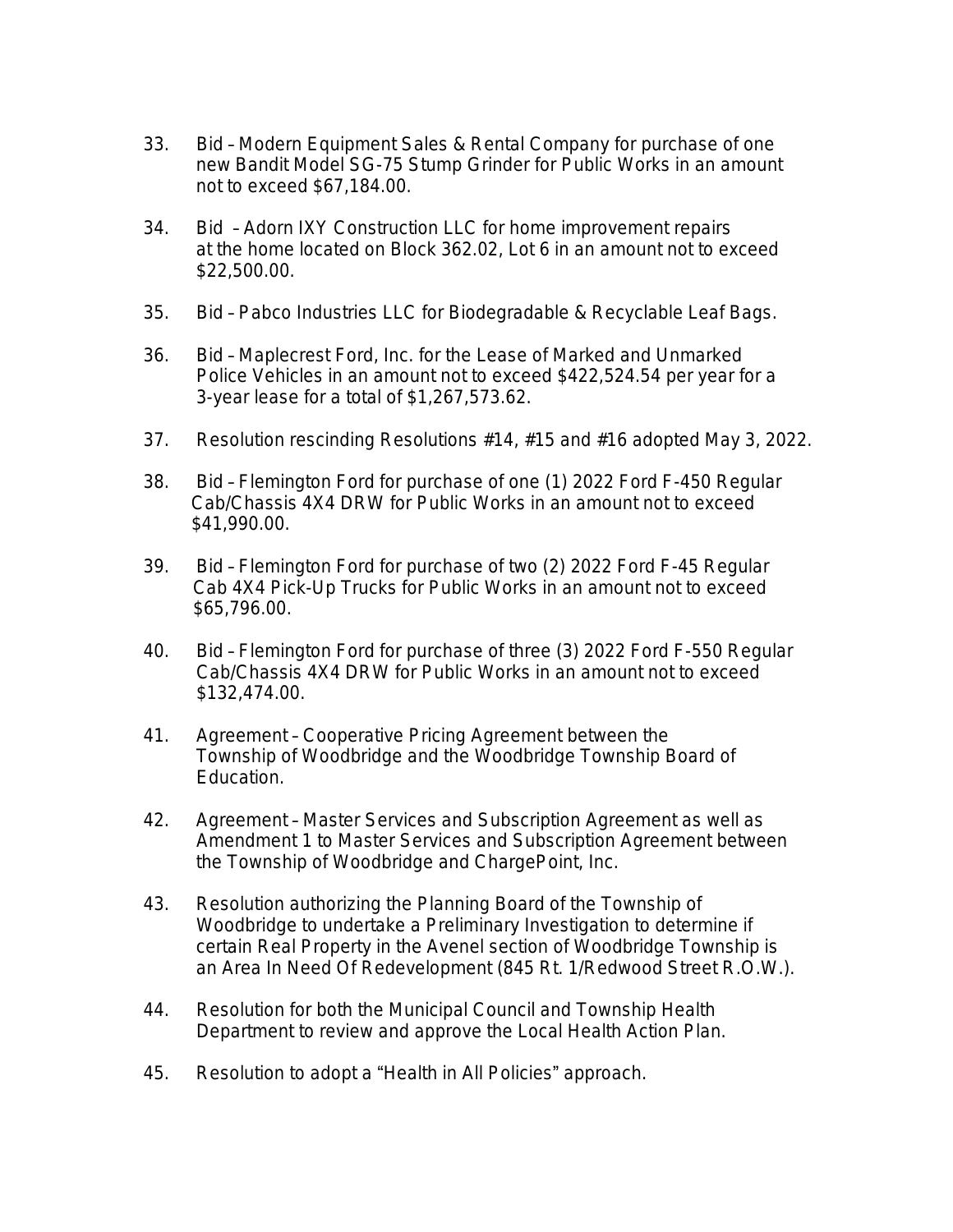- 33. Bid Modern Equipment Sales & Rental Company for purchase of one new Bandit Model SG-75 Stump Grinder for Public Works in an amount not to exceed \$67,184.00.
- 34. Bid Adorn IXY Construction LLC for home improvement repairs at the home located on Block 362.02, Lot 6 in an amount not to exceed \$22,500.00.
- 35. Bid Pabco Industries LLC for Biodegradable & Recyclable Leaf Bags.
- 36. Bid Maplecrest Ford, Inc. for the Lease of Marked and Unmarked Police Vehicles in an amount not to exceed \$422,524.54 per year for a 3-year lease for a total of \$1,267,573.62.
- 37. Resolution rescinding Resolutions #14, #15 and #16 adopted May 3, 2022.
- 38. Bid Flemington Ford for purchase of one (1) 2022 Ford F-450 Regular Cab/Chassis 4X4 DRW for Public Works in an amount not to exceed \$41,990.00.
- 39. Bid Flemington Ford for purchase of two (2) 2022 Ford F-45 Regular Cab 4X4 Pick-Up Trucks for Public Works in an amount not to exceed \$65,796.00.
- 40. Bid Flemington Ford for purchase of three (3) 2022 Ford F-550 Regular Cab/Chassis 4X4 DRW for Public Works in an amount not to exceed \$132,474.00.
- 41. Agreement Cooperative Pricing Agreement between the Township of Woodbridge and the Woodbridge Township Board of Education.
- 42. Agreement Master Services and Subscription Agreement as well as Amendment 1 to Master Services and Subscription Agreement between the Township of Woodbridge and ChargePoint, Inc.
- 43. Resolution authorizing the Planning Board of the Township of Woodbridge to undertake a Preliminary Investigation to determine if certain Real Property in the Avenel section of Woodbridge Township is an Area In Need Of Redevelopment (845 Rt. 1/Redwood Street R.O.W.).
- 44. Resolution for both the Municipal Council and Township Health Department to review and approve the Local Health Action Plan.
- 45. Resolution to adopt a "Health in All Policies" approach.